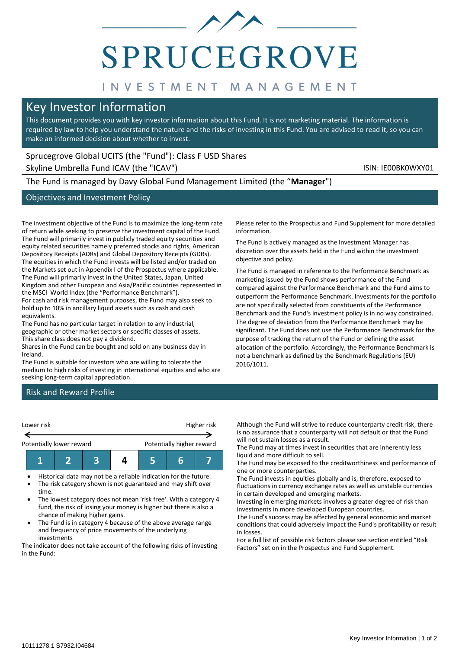# **SPRUCEGROVE**

# INVESTMENT MANAGEMENT

# Key Investor Information

This document provides you with key investor information about this Fund. It is not marketing material. The information is required by law to help you understand the nature and the risks of investing in this Fund. You are advised to read it, so you can make an informed decision about whether to invest.

# Sprucegrove Global UCITS (the "Fund"): Class F USD Shares

Skyline Umbrella Fund ICAV (the "ICAV") Skyline Umbrella Fund ICAV (the "ICAV")

The Fund is managed by Davy Global Fund Management Limited (the "**Manager**")

# Objectives and Investment Policy

The investment objective of the Fund is to maximize the long-term rate of return while seeking to preserve the investment capital of the Fund. The Fund will primarily invest in publicly traded equity securities and equity related securities namely preferred stocks and rights, American Depository Receipts (ADRs) and Global Depository Receipts (GDRs). The equities in which the Fund invests will be listed and/or traded on the Markets set out in Appendix I of the Prospectus where applicable. The Fund will primarily invest in the United States, Japan, United Kingdom and other European and Asia/Pacific countries represented in the MSCI World Index (the "Performance Benchmark").

For cash and risk management purposes, the Fund may also seek to hold up to 10% in ancillary liquid assets such as cash and cash equivalents.

The Fund has no particular target in relation to any industrial, geographic or other market sectors or specific classes of assets. This share class does not pay a dividend.

Shares in the Fund can be bought and sold on any business day in Ireland.

The Fund is suitable for investors who are willing to tolerate the medium to high risks of investing in international equities and who are seeking long-term capital appreciation.

Please refer to the Prospectus and Fund Supplement for more detailed information.

The Fund is actively managed as the Investment Manager has discretion over the assets held in the Fund within the investment objective and policy.

The Fund is managed in reference to the Performance Benchmark as marketing issued by the Fund shows performance of the Fund compared against the Performance Benchmark and the Fund aims to outperform the Performance Benchmark. Investments for the portfolio are not specifically selected from constituents of the Performance Benchmark and the Fund's investment policy is in no way constrained. The degree of deviation from the Performance Benchmark may be significant. The Fund does not use the Performance Benchmark for the purpose of tracking the return of the Fund or defining the asset allocation of the portfolio. Accordingly, the Performance Benchmark is not a benchmark as defined by the Benchmark Regulations (EU) 2016/1011.

# Risk and Reward Profile



• Historical data may not be a reliable indication for the future. • The risk category shown is not guaranteed and may shift over

time. • The lowest category does not mean 'risk free'. With a category 4 fund, the risk of losing your money is higher but there is also a chance of making higher gains.

The Fund is in category 4 because of the above average range and frequency of price movements of the underlying investments

The indicator does not take account of the following risks of investing in the Fund:

Although the Fund will strive to reduce counterparty credit risk, there is no assurance that a counterparty will not default or that the Fund will not sustain losses as a result.

The Fund may at times invest in securities that are inherently less liquid and more difficult to sell.

The Fund may be exposed to the creditworthiness and performance of one or more counterparties.

The Fund invests in equities globally and is, therefore, exposed to fluctuations in currency exchange rates as well as unstable currencies in certain developed and emerging markets.

Investing in emerging markets involves a greater degree of risk than investments in more developed European countries.

The Fund's success may be affected by general economic and market conditions that could adversely impact the Fund's profitability or result in losses.

For a full list of possible risk factors please see section entitled "Risk Factors" set on in the Prospectus and Fund Supplement.